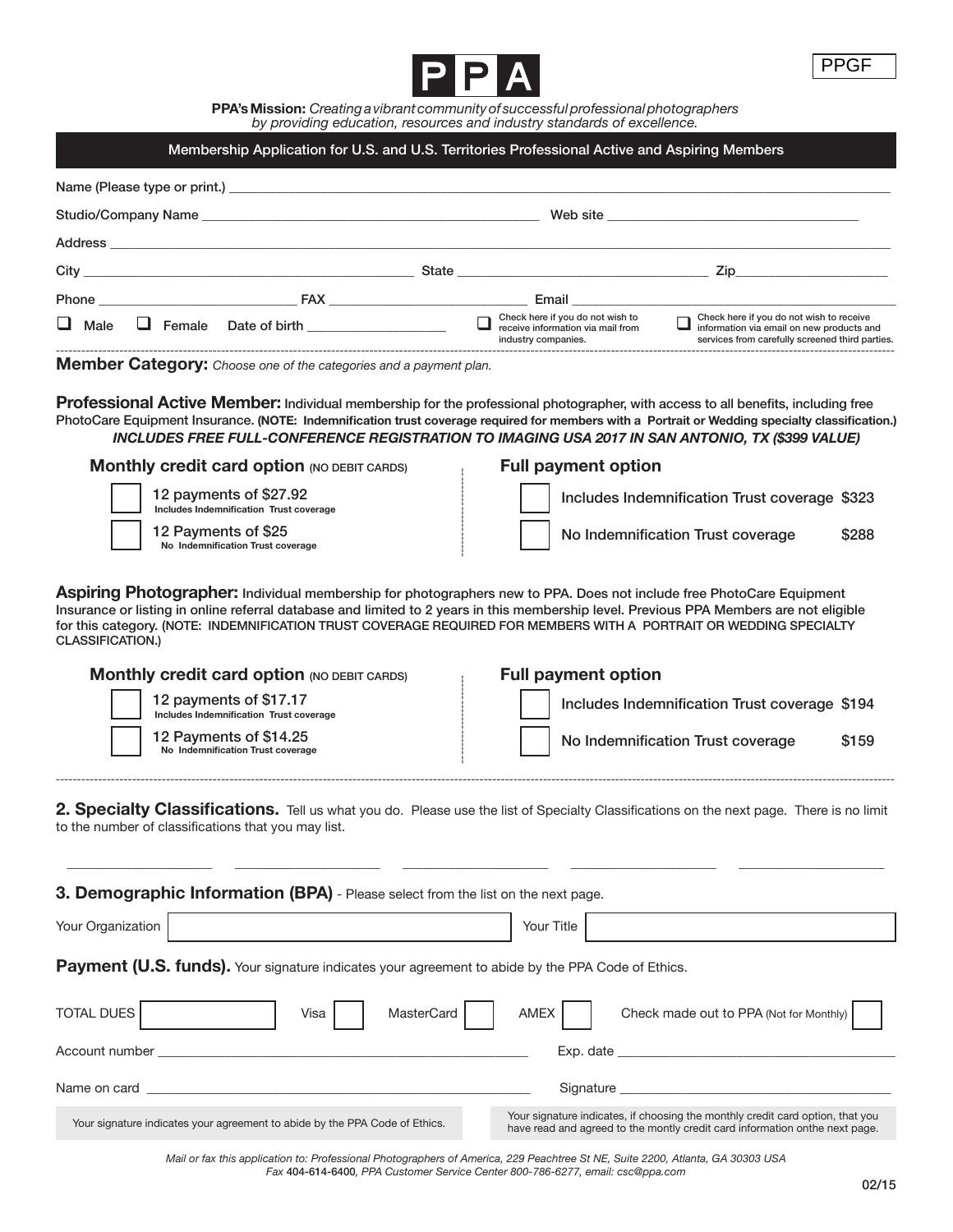

**PPA's Mission:** *Creating a vibrant community of successful professional photographers by providing education, resources and industry standards of excellence.*

## Membership Application for U.S. and U.S. Territories Professional Active and Aspiring Members

|                              |                                                           | Name (Please type or print.)                                                                                                                                                                                                         |                                                                                                               |                                                                                                                                          |
|------------------------------|-----------------------------------------------------------|--------------------------------------------------------------------------------------------------------------------------------------------------------------------------------------------------------------------------------------|---------------------------------------------------------------------------------------------------------------|------------------------------------------------------------------------------------------------------------------------------------------|
|                              |                                                           | Web site <b>with the contract of the contract of the contract of the contract of the contract of the contract of the contract of the contract of the contract of the contract of the contract of the contract of the contract of</b> |                                                                                                               |                                                                                                                                          |
| Address                      | <u> 1980 - John Stein, Amerikaansk politiker (* 1980)</u> |                                                                                                                                                                                                                                      |                                                                                                               |                                                                                                                                          |
|                              |                                                           |                                                                                                                                                                                                                                      |                                                                                                               |                                                                                                                                          |
| Phone <b>EAX</b>             |                                                           |                                                                                                                                                                                                                                      | Email and the contract of the contract of the contract of the contract of the contract of the contract of the |                                                                                                                                          |
| $\Box$ Male<br>$\Box$ Female | Date of birth <b>Exercise 2018</b>                        | industry companies.                                                                                                                                                                                                                  | Check here if you do not wish to<br>receive information via mail from                                         | Check here if you do not wish to receive<br>information via email on new products and<br>services from carefully screened third parties. |
| .                            |                                                           |                                                                                                                                                                                                                                      |                                                                                                               |                                                                                                                                          |

**Member Category:** *Choose one of the categories and a payment plan.*

**Professional Active Member:** Individual membership for the professional photographer, with access to all benefits, including free PhotoCare Equipment Insurance. **(NOTE: Indemnification trust coverage required for members with a Portrait or Wedding specialty classification.)** *INCLUDES FREE FULL-CONFERENCE REGISTRATION TO IMAGING USA 2017 IN SAN ANTONIO, TX (\$399 VALUE)*

| <b>Monthly credit card option (NO DEBIT CARDS)</b>                | <b>Full payment option</b>                    |
|-------------------------------------------------------------------|-----------------------------------------------|
| 12 payments of \$27.92<br>Includes Indemnification Trust coverage | Includes Indemnification Trust coverage \$323 |
| <b>12 Payments of \$25</b><br>No Indemnification Trust coverage   | No Indemnification Trust coverage<br>\$288    |

**Aspiring Photographer:** Individual membership for photographers new to PPA. Does not include free PhotoCare Equipment Insurance or listing in online referral database and limited to 2 years in this membership level. Previous PPA Members are not eligible for this category. (NOTE: INDEMNIFICATION TRUST COVERAGE REQUIRED FOR MEMBERS WITH A PORTRAIT OR WEDDING SPECIALTY CLASSIFICATION.)

| <b>Monthly credit card option (NO DEBIT CARDS)</b> |                                                                   | <b>Full payment option</b>                    |  |  |  |
|----------------------------------------------------|-------------------------------------------------------------------|-----------------------------------------------|--|--|--|
|                                                    | 12 payments of \$17.17<br>Includes Indemnification Trust coverage | Includes Indemnification Trust coverage \$194 |  |  |  |
|                                                    | 12 Payments of \$14.25<br>No Indemnification Trust coverage       | No Indemnification Trust coverage<br>\$159    |  |  |  |
|                                                    |                                                                   |                                               |  |  |  |

2. Specialty Classifications. Tell us what you do. Please use the list of Specialty Classifications on the next page. There is no limit to the number of classifications that you may list.

*\_\_\_\_\_\_\_\_\_\_\_\_\_\_\_\_\_\_\_\_\_\_ \_\_\_\_\_\_\_\_\_\_\_\_\_\_\_\_\_\_\_\_\_\_ \_\_\_\_\_\_\_\_\_\_\_\_\_\_\_\_\_\_\_\_\_\_ \_\_\_\_\_\_\_\_\_\_\_\_\_\_\_\_\_\_\_\_\_\_ \_\_\_\_\_\_\_\_\_\_\_\_\_\_\_\_\_\_\_\_\_\_*

Payment (U.S. funds). Your signature indicates your agreement to abide by the PPA Code of Ethics. TOTAL DUES | Visa | Visa | MasterCard | AMEX | Check made out to PPA (Not for Monthly) Account number \_\_\_\_\_\_\_\_\_\_\_\_\_\_\_\_\_\_\_\_\_\_\_\_\_\_\_\_\_\_\_\_\_\_\_\_\_\_\_\_\_\_\_\_\_\_\_\_\_\_\_\_\_\_\_\_ Exp. date \_\_\_\_\_\_\_\_\_\_\_\_\_\_\_\_\_\_\_\_\_\_\_\_\_\_\_\_\_\_\_\_\_\_\_\_\_\_\_\_\_\_ Name on card \_\_\_\_\_\_\_\_\_\_\_\_\_\_\_\_\_\_\_\_\_\_\_\_\_\_\_\_\_\_\_\_\_\_\_\_\_\_\_\_\_\_\_\_\_\_\_\_\_\_\_\_\_\_\_\_\_\_ Signature \_\_\_\_\_\_\_\_\_\_\_\_\_\_\_\_\_\_\_\_\_\_\_\_\_\_\_\_\_\_\_\_\_\_\_\_\_\_\_\_\_ **3. Demographic Information (BPA)** - Please select from the list on the next page. Your Organization **Your Title** 

Your signature indicates your agreement to abide by the PPA Code of Ethics.<br>Note that proof to the monthly credit card information onthe next page have read and agreed to the montly credit card information onthe next page.

> *Mail or fax this application to: Professional Photographers of America, 229 Peachtree St NE, Suite 2200, Atlanta, GA 30303 USA Fax* 404-614-6400*, PPA Customer Service Center 800-786-6277, email: csc@ppa.com*